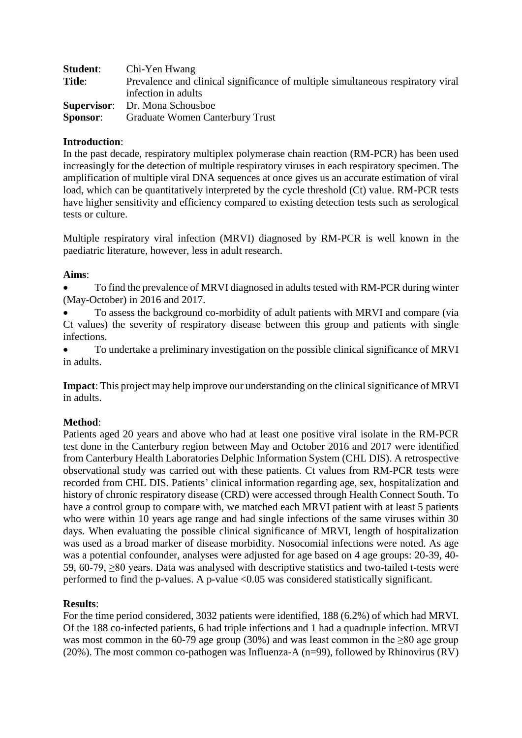| <b>Student:</b> | Chi-Yen Hwang                                                                   |
|-----------------|---------------------------------------------------------------------------------|
| Title:          | Prevalence and clinical significance of multiple simultaneous respiratory viral |
|                 | infection in adults                                                             |
|                 | <b>Supervisor:</b> Dr. Mona Schousboe                                           |
| <b>Sponsor:</b> | <b>Graduate Women Canterbury Trust</b>                                          |

# **Introduction**:

In the past decade, respiratory multiplex polymerase chain reaction (RM-PCR) has been used increasingly for the detection of multiple respiratory viruses in each respiratory specimen. The amplification of multiple viral DNA sequences at once gives us an accurate estimation of viral load, which can be quantitatively interpreted by the cycle threshold (Ct) value. RM-PCR tests have higher sensitivity and efficiency compared to existing detection tests such as serological tests or culture.

Multiple respiratory viral infection (MRVI) diagnosed by RM-PCR is well known in the paediatric literature, however, less in adult research.

# **Aims**:

 To find the prevalence of MRVI diagnosed in adults tested with RM-PCR during winter (May-October) in 2016 and 2017.

 To assess the background co-morbidity of adult patients with MRVI and compare (via Ct values) the severity of respiratory disease between this group and patients with single infections.

 To undertake a preliminary investigation on the possible clinical significance of MRVI in adults.

**Impact**: This project may help improve our understanding on the clinical significance of MRVI in adults.

### **Method**:

Patients aged 20 years and above who had at least one positive viral isolate in the RM-PCR test done in the Canterbury region between May and October 2016 and 2017 were identified from Canterbury Health Laboratories Delphic Information System (CHL DIS). A retrospective observational study was carried out with these patients. Ct values from RM-PCR tests were recorded from CHL DIS. Patients' clinical information regarding age, sex, hospitalization and history of chronic respiratory disease (CRD) were accessed through Health Connect South. To have a control group to compare with, we matched each MRVI patient with at least 5 patients who were within 10 years age range and had single infections of the same viruses within 30 days. When evaluating the possible clinical significance of MRVI, length of hospitalization was used as a broad marker of disease morbidity. Nosocomial infections were noted. As age was a potential confounder, analyses were adjusted for age based on 4 age groups: 20-39, 40- 59, 60-79, ≥80 years. Data was analysed with descriptive statistics and two-tailed t-tests were performed to find the p-values. A p-value <0.05 was considered statistically significant.

### **Results**:

For the time period considered, 3032 patients were identified, 188 (6.2%) of which had MRVI. Of the 188 co-infected patients, 6 had triple infections and 1 had a quadruple infection. MRVI was most common in the 60-79 age group (30%) and was least common in the  $\geq 80$  age group (20%). The most common co-pathogen was Influenza-A (n=99), followed by Rhinovirus (RV)